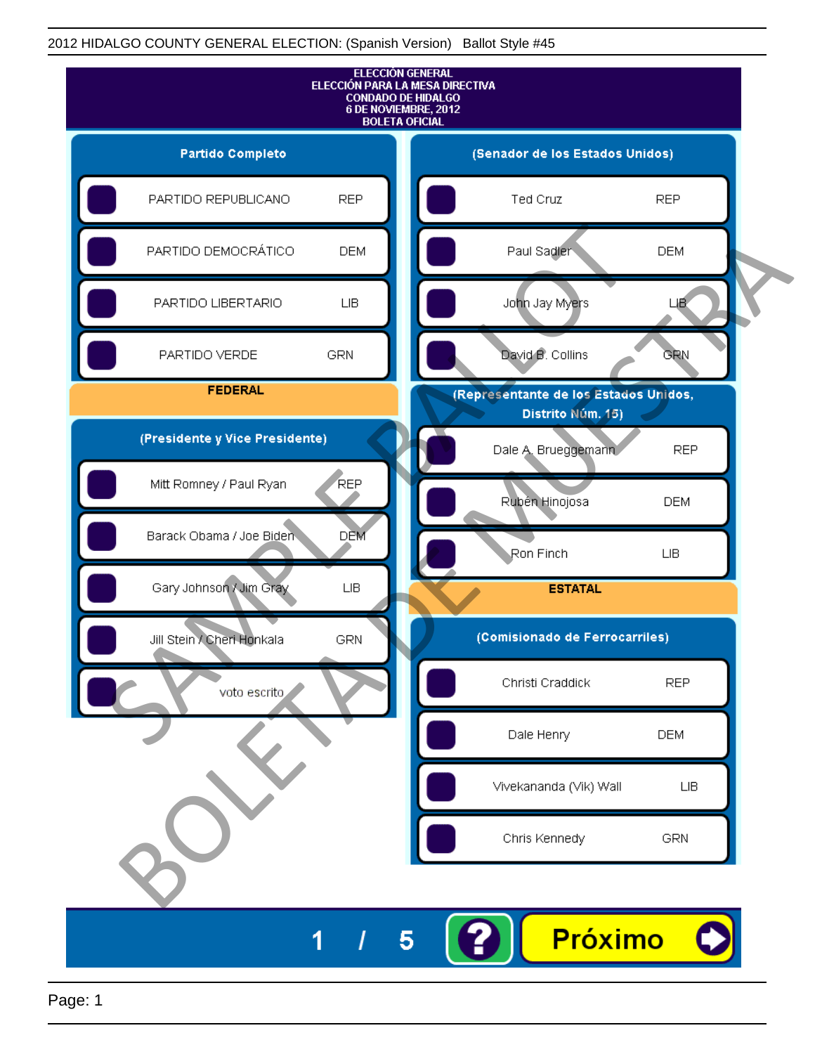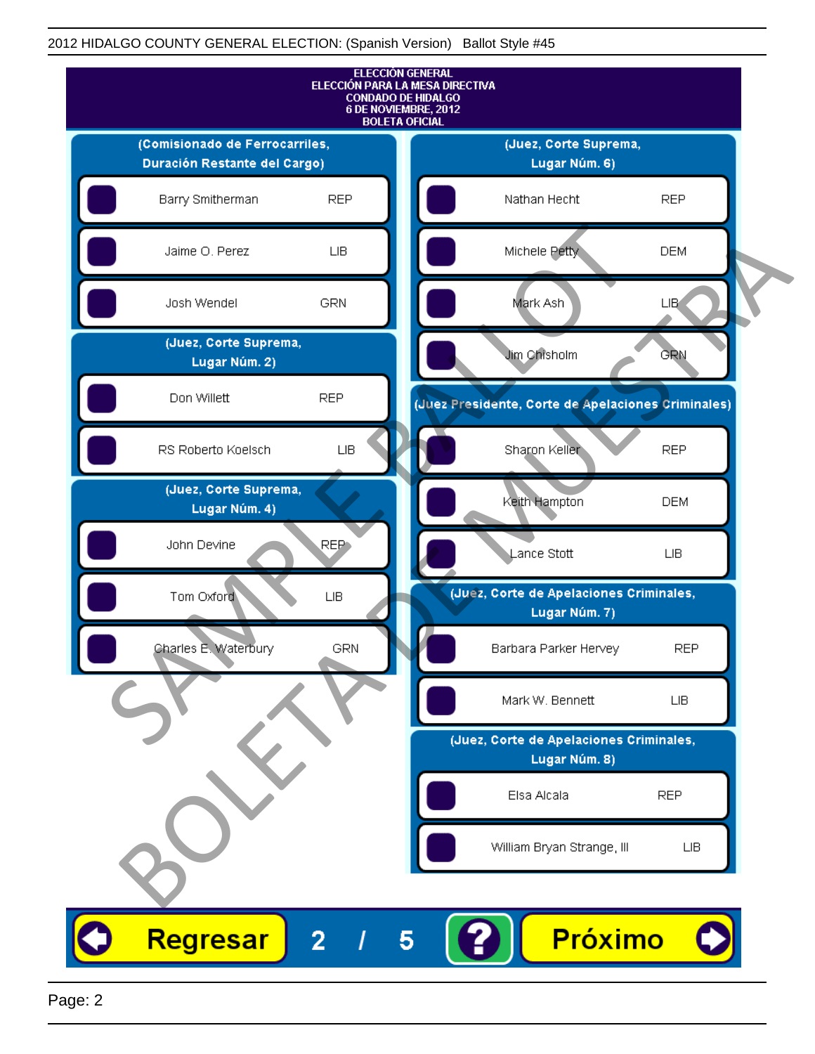

Page: 2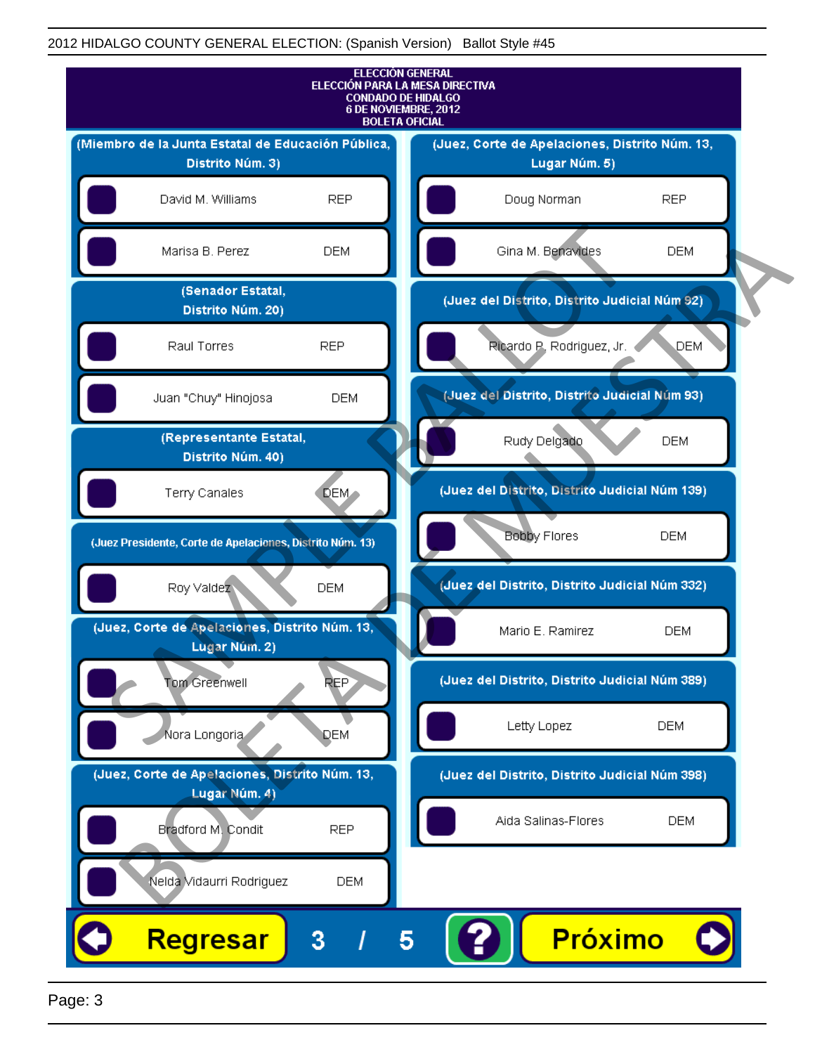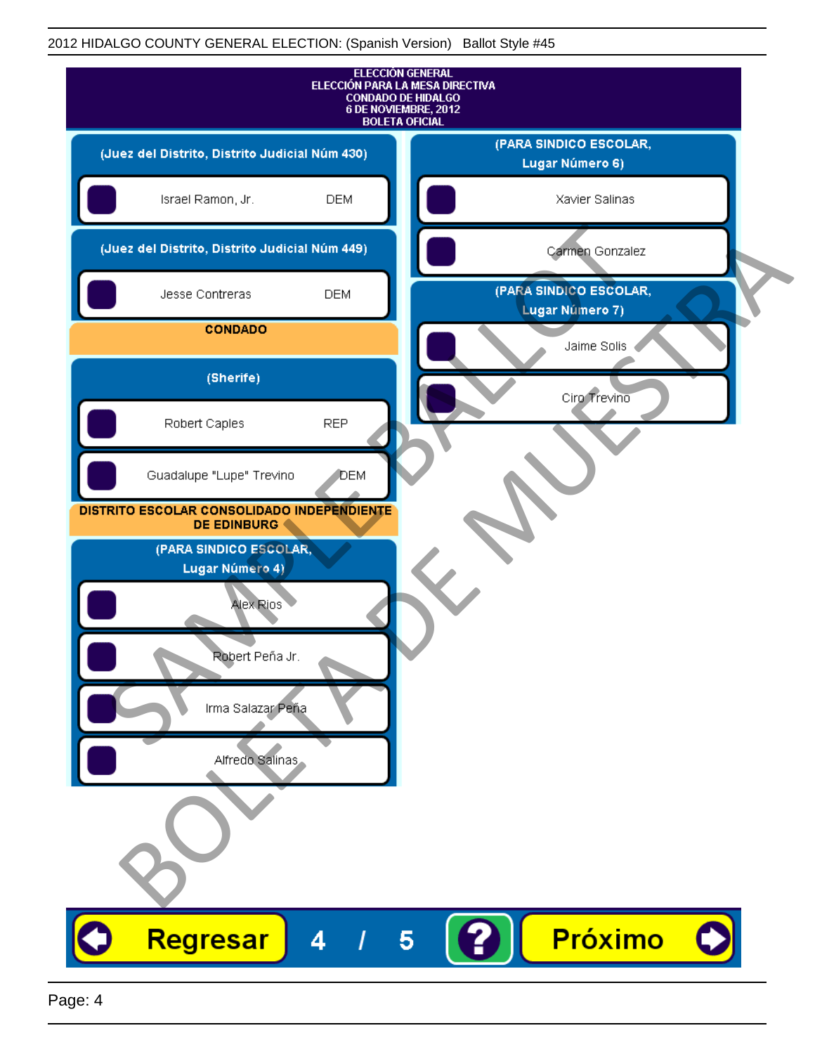| <b>ELECCIÓN GENERAL</b><br>ELECCIÓN PARA LA MESA DIRECTIVA<br><b>CONDADO DE HIDALGO</b><br>6 DE NOVIEMBRE, 2012<br><b>BOLETA OFICIAL</b> |                                           |
|------------------------------------------------------------------------------------------------------------------------------------------|-------------------------------------------|
| (Juez del Distrito, Distrito Judicial Núm 430)                                                                                           | (PARA SINDICO ESCOLAR,<br>Lugar Número 6) |
| Israel Ramon, Jr.<br><b>DEM</b>                                                                                                          | Xavier Salinas                            |
| (Juez del Distrito, Distrito Judicial Núm 449)                                                                                           | Carmen Gonzalez                           |
| Jesse Contreras<br><b>DEM</b>                                                                                                            | (PARA SINDICO ESCOLAR,<br>Lugar Número 7) |
| <b>CONDADO</b>                                                                                                                           | Jaime Solis                               |
| (Sherife)                                                                                                                                | Ciro Trevino                              |
| Robert Caples<br><b>REP</b>                                                                                                              |                                           |
| Guadalupe "Lupe" Trevino<br><b>J</b> DEM                                                                                                 |                                           |
| DISTRITO ESCOLAR CONSOLIDADO INDEPENDIENTE<br><b>DE EDINBURG</b>                                                                         |                                           |
| (PARA SINDICO ESCOLAR,<br>Lugar Número 4)                                                                                                |                                           |
| Alex Rios                                                                                                                                |                                           |
| Robert Pena Jr.                                                                                                                          |                                           |
|                                                                                                                                          |                                           |
| Irma Salazar Peña                                                                                                                        |                                           |
| Alfredo Salinas                                                                                                                          |                                           |
|                                                                                                                                          |                                           |
| Regresar<br>4                                                                                                                            | Próximo<br>5                              |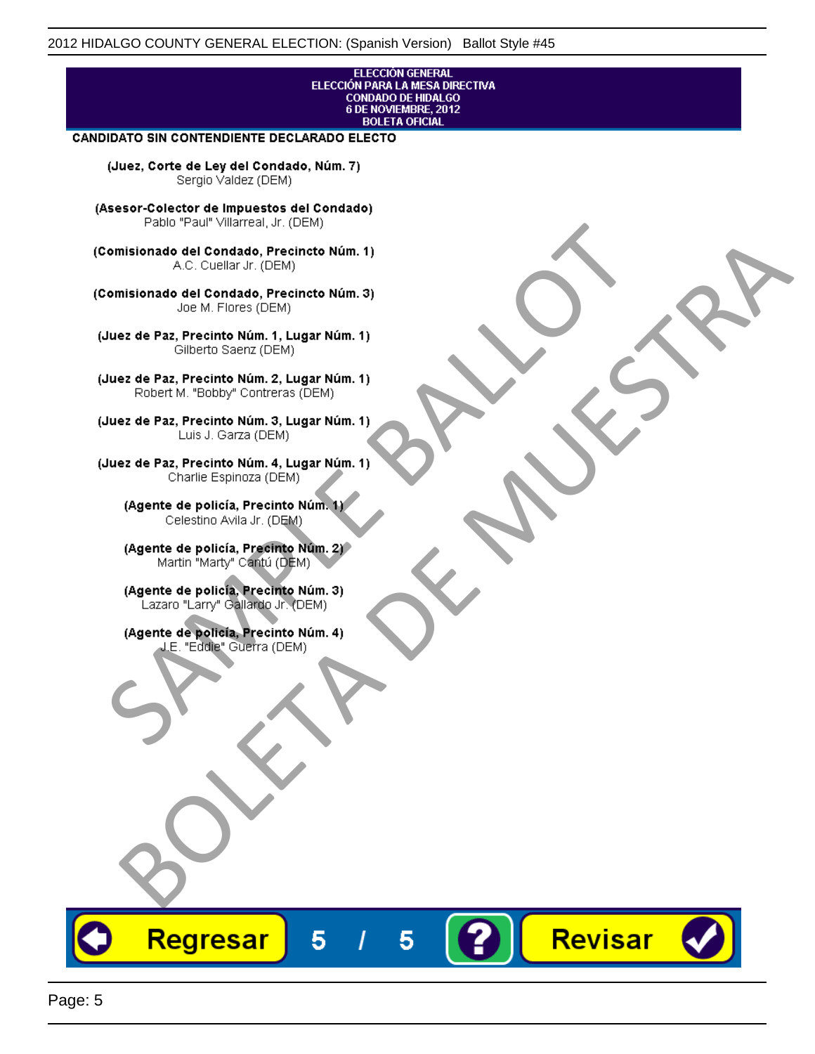#### **ELECCIÓN GENERAL** ELECCIÓN PARA LA MESA DIRECTIVA CONDADO DE HIDALGO<br>6 DE NOVIEMBRE, 2012 **BOLETA OFICIAL**

Revisar

### **CANDIDATO SIN CONTENDIENTE DECLARADO ELECTO**

(Juez, Corte de Ley del Condado, Núm. 7) Sergio Valdez (DEM)

(Asesor-Colector de Impuestos del Condado)

Fallo Fall Willdrea, J.I. (DEM)<br>
Consistionado el Condado, Precincto Núm. 1)<br>
A.C. Cuellar Jr. (DEM)<br>
Ullez de Paz, Precinto Núm. 1)<br>
Juez de Paz, Precinto Núm. 1, Lugar Núm. 1)<br>
Gilberto Sentr (DEM)<br>
Robert M. "Bobby" Con misionado del Condiado, Precincto Núm. 1)<br>
Andro del Condiado, Precincto Núm. 3)<br>
ez de Paz, Precinto Núm. 21<br>
algo M. Picer Lo Saerz, (CIEM)<br>
algo M. Picer Lo Saerz, (CIEM)<br>
algo M. Picer Lo Saerz, (CIEM)<br>
ez de Paz, Prec

Regresar

5

5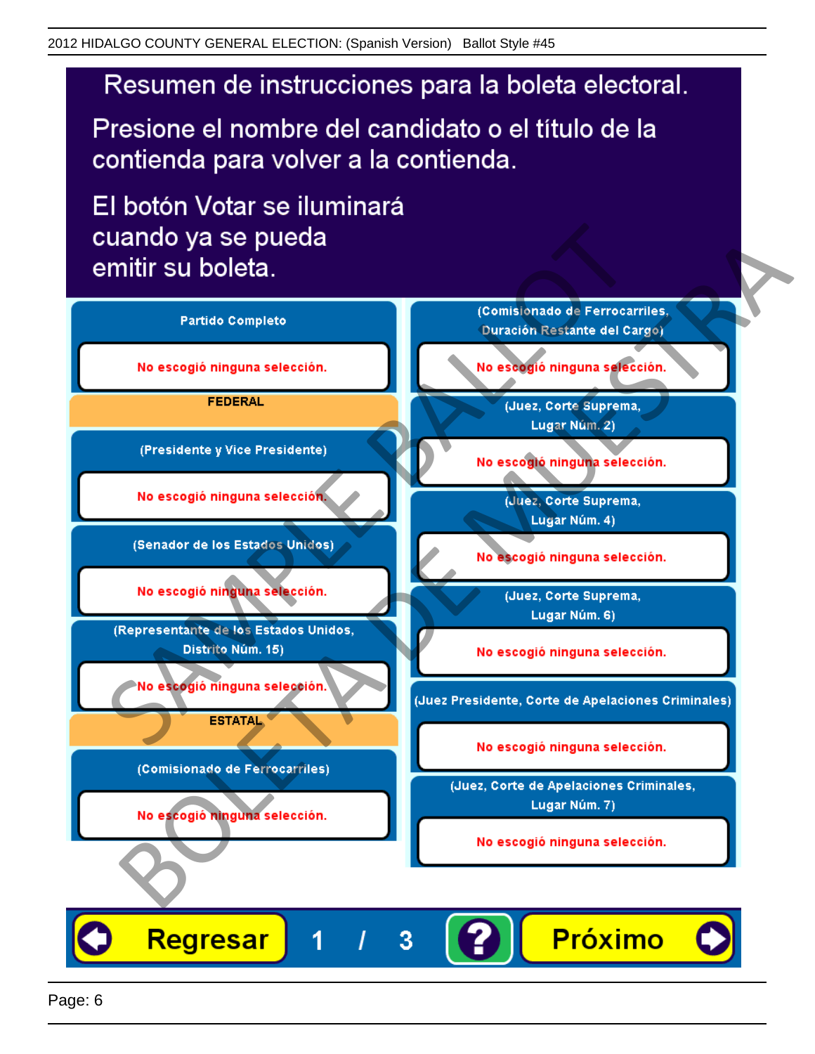# Resumen de instrucciones para la boleta electoral.

Presione el nombre del candidato o el título de la contienda para volver a la contienda.

El botón Votar se iluminará

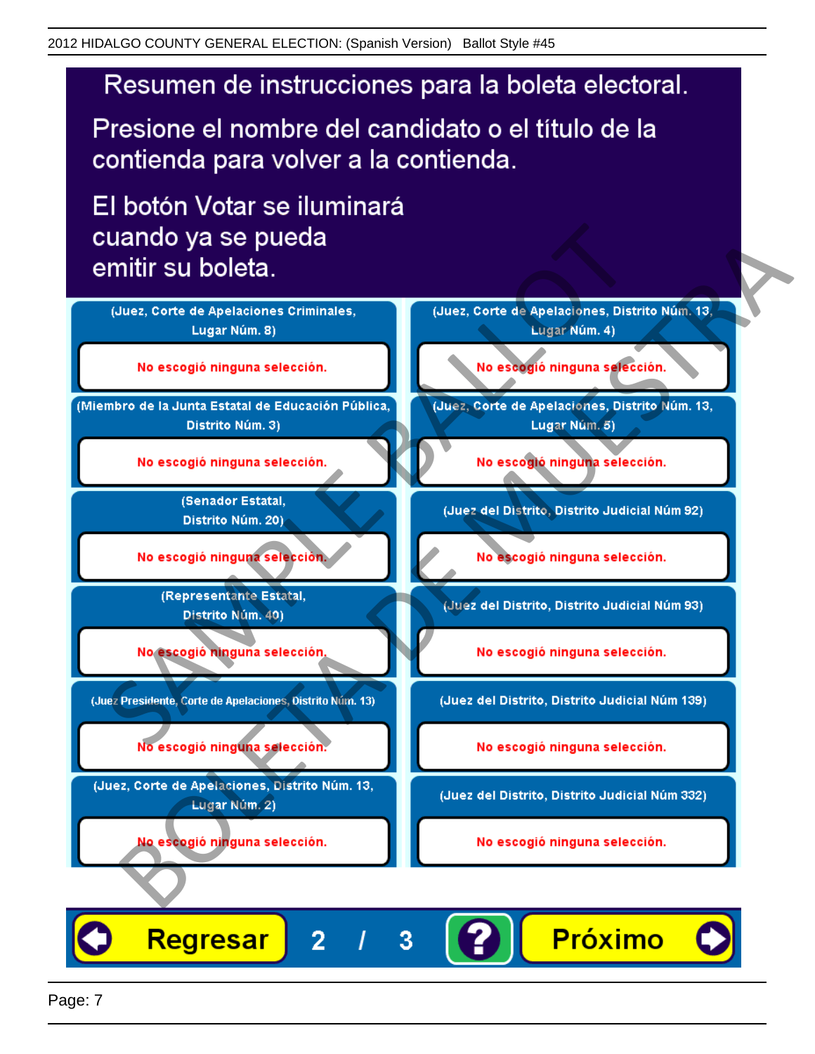# Resumen de instrucciones para la boleta electoral.

Presione el nombre del candidato o el título de la contienda para volver a la contienda.

El botón Votar se iluminará